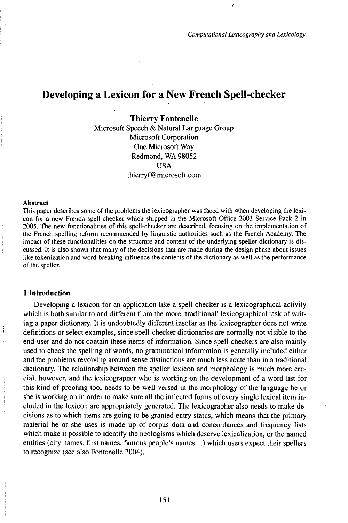$\langle$ 

# Developing a Lexicon for a New French Spell-checker

# **Thierry Fontenelle**

Microsoft Speech & Natural Language Group Microsoft Corporation One Microsoft Way Redmond, WA 98052 USA thierryf@microsoft.com

#### Abstract

This paper describes some of the problems the lexicographer was faced with when developing the lexicon for a new French spell-checker which shipped in the Microsoft Office 2003 Service Pack 2 in 2005. The new functionalities of this spell-checker are described, focusing on the implementation of the French spelling reform recommended by linguistic authorities such as the French Academy. The impact of these functionalities on the structure and content of the underlying speller dictionary is discussed. It is also shown that many of the decisions that are made during the design phase about issues like tokenization and word-breaking influence the contents of the dictionary as well as the performance of the speller.

#### **1 Introduction**

Developing a lexicon for an application like a spell-checker is a lexicographical activity which is both similar to and different from the more 'traditional' lexicographical task of writing a paper dictionary. It is undoubtedly different insofar as the lexicographer does not write definitions or select examples, since spell-checker dictionaries are normally not visible to the end-user and do not contain these items of information. Since spell-checkers are also mainly used to check the spelling of words, no grammatical information is generally included either and the problems revolving around sense distinctions are much less acute than in a traditional dictionary. The relationship between the speller lexicon and morphology is much more crucial, however, and the lexicographer who is working on the development of a word list for this kind of proofing tool needs to be well-versed in the morphology of the language he or she is working on in order to make sure all the inflected forms of every single lexical item included in the lexicon are appropriately generated. The lexicographer also needs to make decisions as to which items are going to be granted entry status, which means that the primary material he or she uses is made up of corpus data and concordances and frequency lists which make it possible to identify the neologisms which deserve lexicalization, or the named entities (city names, first names, famous people's names...) which users expect their spellers to recognize (see also Fontenelle 2004).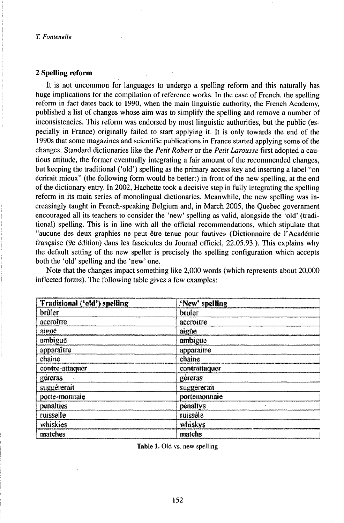## **2 Spelling reform**

It is not uncommon for languages to undergo a spelling reform and this naturally has huge implications for the compilation of reference works. In the case of French, the spelling reform in fact dates back to 1990, when the main linguistic authority, the French Academy, published a list of changes whose aim was to simplify the spelling and remove a number of inconsistencies. This reform was endorsed by most linguistic authorities, but the public (especially in France) originally failed to start applying it. It is only towards the end of the 1990s that some magazines and scientific publications in France started applying some of the changes. Standard dictionaries like the *Petit Robert* or the *Petit Larousse* first adopted a cautious attitude, the former eventually integrating a fair amount of the recommended changes, but keeping the traditional ('old') spelling as the primary access key and inserting a label "on écrirait mieux" (the following form would be better:) in front of the new spelling, at the end of the dictionary entry. In 2002, Hachette took a decisive step in fully integrating the spelling reform in its main series of monolingual dictionaries. Meanwhile, the new spelling was increasingly taught in French-speaking Belgium and, in March 2005, the Quebec government encouraged all its teachers to consider the 'new' spelling as valid, alongside the 'old' (traditional) spelling. This is in line with all the official recommendations, which.stipulate that "aucune des deux graphies ne peut être tenue pour fautive» (Dictionnaire de l'Académie française (9e édition) dans les fascicules du Journal officiel, 22.05.93.). This explains why the default setting of the new speller is precisely the spelling configuration which accepts both the 'old' spelling and the 'new' one.

Note that the changes impact something like 2,000 words (which represents about 20,000 inflected forms). The following table gives a few examples:

| <b>Traditional ('old') spelling</b> | <b>'New' spelling</b> |
|-------------------------------------|-----------------------|
| brûler                              | bruler                |
| accroître                           | accroitre             |
| aigue                               | aigüe                 |
| ambiguë                             | ambigüe               |
| apparaître                          | apparaitre            |
| chaine                              | chaine                |
| contre-attaquer                     | contrattaquer         |
| géreras                             | gereras               |
| suggérerait                         | suggererait           |
| porte-monnaie                       | portemonnaie          |
| penalties                           | pénaltys              |
| ruisselle                           | ruissèle              |
| whiskies                            | whiskys               |
| matches                             | matchs                |

Table 1. Old vs. new spelling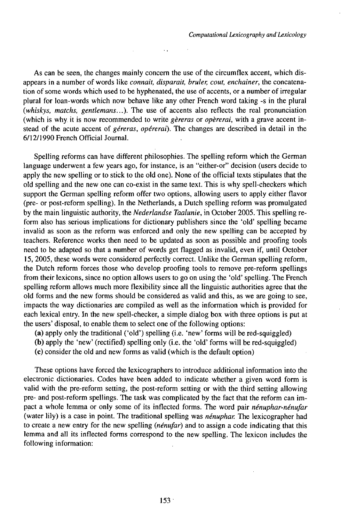As can be seen, the changes mainly concern the use of the circumflex accent, which disappears in a number of words like *connait, disparait, bruler, cout, enchainer,* the concatenation of some words which used to be hyphenated, the use of accents, or a number of irregular plural for loan-words which now behave like any other French word taking -s in the plural *(whiskys, matchs, gentlemans...).* The use of accents also reflects the real pronunciation (which is why it is now recommended to write *gèreras* or *opèrerai,* with a grave accent instead of the acute accent of *géreras, opérerai).* The changes are described in detail in the 6/12/1990 French Official Journal.

 $\ddot{\phantom{0}}$ 

Spelling reforms can have different philosophies. The spelling reform which the German language underwent a few years ago, for instance, is an "either-or" decision (users decide to apply the new spelling or to stick to the old one). None of the official texts stipulates that the old spelling and the new one can co-exist in the same text. This is why spell-checkers which support the German spelling reform offer two options, allowing users to apply either flavor (pre- or post-reform spelling). In the Netherlands, a Dutch spelling reform was promulgated by the main linguistic authority, the *Nederlandse Taalunie,* in October 2005. This spelling reform also has serious implications for dictionary publishers since the 'old' spelling became invalid as soon as the reform was enforced and only the new spelling can be accepted by teachers. Reference works then need to be updated as soon as possible and proofing tools need to be adapted so that a number of words get flagged as invalid, even if, until October 15, 2005, these words were considered perfectly correct. Unlike the German spelling reform, the Dutch reform forces those who develop proofing tools to remove pre-reform spellings from their lexicons, since no option allows users to go on using the 'old' spelling. The French spelling reform allows much more flexibility since all the linguistic authorities agree that the old forms and the new forms should be considered as valid and this, as we are going to see, impacts the way dictionaries are compiled as well as the information which is provided for each lexical entry. In the new spell-checker, a simple dialog box with three options is put at the users' disposal, to enable them to select one of the following options:

(a) apply only the traditional ('old') spelling (i.e. 'new' forms will be red-squiggled)

(b) apply the 'new' (rectified) spelling only (i.e. the 'old' forms will be red-squiggled)

(c) consider the old and new forms as valid (which is the default option)

These options have forced the lexicographers to introduce additional information into the electronic dictionaries. Codes have been added to indicate whether a given word form is valid with the pre-reform setting, the post-reform setting or with the third setting allowing pre- and post-reform spellings. The task was complicated by the fact that the reform can impact a whole lemma or only some of its inflected forms. The word pair *nénuphar-nénufar* (water lily) is a case in point. The traditional spelling was *nénuphar.* The lexicographer had to create a new entry for the new spelling *(nénufar)* and to assign a code indicating that this lemma and all its inflected forms correspond to the new spelling. The lexicon includes the following information: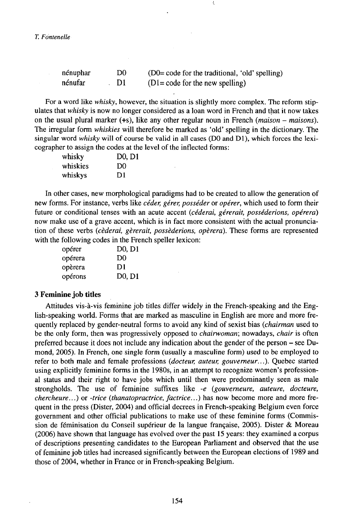*T. Fontenelle*

| nénuphar | D0  | (D0= code for the traditional, 'old' spelling) |
|----------|-----|------------------------------------------------|
| nénufar  | -DI | $(Dl = code for the new spelling)$             |

For a word like *whisky,* however, the situation is slightly more complex. The reform stipulates that *whisky* is now no longer considered as a loan word in French and that it now takes on the usual plural marker (+s), like any other regular noun in French *(maison - maisons).* The irregular form *whiskies* will therefore be marked as 'old' spelling in the dictionary. The singular word *whisky* will of course be valid in all cases (D0 and D1), which forces the lexicographer to assign the codes at the level of the inflected forms:

| whisky   | D <sub>0</sub> , D <sub>1</sub> |
|----------|---------------------------------|
| whiskies | D0                              |
| whiskys  | D1                              |

In other cases, new morphological paradigms had to be created to allow the generation of new forms. For instance, verbs like *céder, gérer, posséder* or *opérer,* which used to form their future or conditional tenses with an acute accent *(céderai, gérerait, posséderions, opérera)* now make use of a grave accent, which is in fact more consistent with the actual pronunciation of these verbs *(cèderai, gèrerait, posséderions, opèrera).* These forms are represented with the following codes in the French speller lexicon:

| opérer  | $D0$ , $D1$                     |
|---------|---------------------------------|
| opérera | D0                              |
| opèrera | D1                              |
| opérons | D <sub>0</sub> , D <sub>1</sub> |

## **3 Feminine job titles**

Attitudes vis-à-vis feminine job titles differ widely in the French-speaking and the English-speaking world. Forms that are marked as masculine in English are more and more frequently replaced by gender-neutral forms to avoid any kind of sexist bias *(chairman* used to be the only form, then was progressively opposed to *chairwoman;* nowadays, *chair* is often preferred because it does not include any indication about the gender of the person - see Dumond, 2005). In French, one single form (usually a masculine form) used to be employed to refer to both male and female professions *(docteur, auteur, gouverneur...).* Quebec started using explicitly feminine forms in the 1980s, in an attempt to recognize women's professional status and their right to have jobs which until then were predominantly seen as male strongholds. The use of feminine suffixes like *-e (gouverneure, auteure, docteure, chercheure...)* or *-trice (thanatopractrice, factrice...)* has now become more and more frequent in the press (Dister, 2004) and official decrees in French-speaking Belgium even force government and other official publications to make use of these feminine forms (Commission de féminisation du Conseil supérieur de la langue française, 2005). Dister & Moreau (2006) have shown that language has evolved over the past 15 years: they examined a corpus of descriptions presenting candidates to the European Parliament and observed that the use of feminine job titles had increased significantly between the European elections of 1989 and those of 2004, whether in France or in French-speaking Belgium.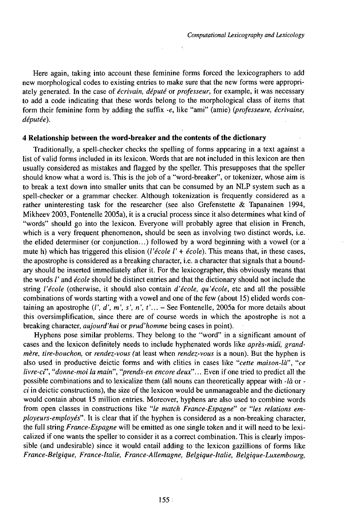Here again, taking into account these feminine forms forced the lexicographers to add new morphological codes to existing entries to make sure that the new forms were appropriately generated. In the case of *écrivain, député* or *professeur,* for example, it was necessary to add a code indicating that these words belong to the morphological class of items that form their feminine form by adding the suffix *-e,* like "ami" (amie) *Q}rofesseure, écrivaine, députée).*

## **4 Relationship between the word-breaker and the contents of the dictionary**

Traditionally, a spell-checker checks the spelling of forms appearing in a text against a list of valid forms included in its lexicon. Words that are not included in this lexicon are then usually considered as mistakes and flagged by the speller. This presupposes that the speller should know what a word is. This is the job of a "word-breaker", or tokenizer, whose aim is to break a text down into smaller units that can be consumed by an NLP system such as a spell-checker or a grammar checker. Although tokenization is frequently considered as a rather uninteresting task for the researcher (see also Grefenstette & Tapanainen 1994, Mikheev 2003, Fontenelle 2005a), it is a crucial process since it also determines what kind of "words" should go into the lexicon. Everyone will probably agree that elision in French, which is a very frequent phenomenon, should be seen as involving two distinct words, i.e. the elided determiner (or conjunction...) followed by a word beginning with a vowel (or a ' mute h) which has triggered this elision *(l'école l'* + *école).* This means that, in these cases, the apostrophe is considered as a breaking character, i.e. a character that signals that a boundary should be inserted immediately after it. For the lexicographer, this obviously means that the words /' and *école* should be distinct entries and that the dictionary should not include the string *l'école* (otherwise, it should also contain *d'école, qu'école,* etc and all the possible combinations of words starting with a vowel and one of the few (about 15) elided words containing an apostrophe  $(l', d', m', s', n', t'...$  - See Fontenelle, 2005a for more details about this oversimplification, since there are of course words in which the apostrophe is not a breaking character, *aujourd'hui* or *prud'homme* being cases in point).

Hyphens pose similar problems. They belong to the "word" in a significant amount of cases and the lexicon definitely needs to include hyphenated words like *après-midi, grandmère, tire-bouchon,* or *rendez-vous* (at least when *rendez-vous* is a noun). But the hyphen is also used in productive deictic forms and with clitics in cases like "cette maison-là", "ce *livre-ci", "donne-moi la main", "prends-en encore deux"...* Even if one tried to predict all the possible combinations and to lexicalize them (all nouns can theoretically appear with *-là* or  $ci$  in deictic constructions), the size of the lexicon would be unmanageable and the dictionary would contain about 15 million entries. Moreover, hyphens are also used to combine words from open classes in constructions like *"le match France-Espagne"* or *"les relations employeurs-employés".* It is clear that if the hyphen is considered as a non-breaking character, the full string *France-Espagne* will be emitted as one single token and it will need to be lexicalized if one wants the speller to consider it as a correct combination. This is clearly impossible (and undesirable) since it would entail adding to the lexicon gazillions of forms like *France-Belgique, France-Italie, France-Allemagne, Belgique-Italie, Belgique-Luxembourg,*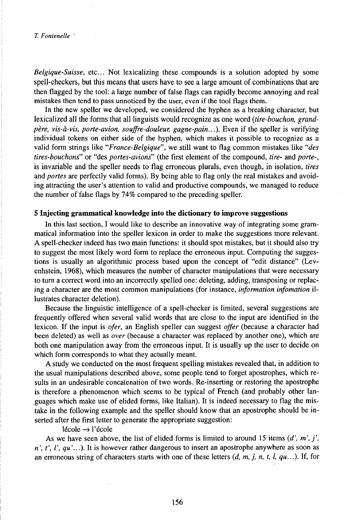*Belgique-Suisse,* etc... Not lexicalizing these compounds is a solution adopted by some spell-checkers, but this means that users have to see a large amount of combinations that are then flagged by the tool: a large number of false flags can rapidly become annoying and real mistakes then tend to pass unnoticed by the user, even if the tool flags them.

In the new speller we developed, we considered the hyphen as a breaking character, but lexicalized all the forms that all linguists would recognize as one word *(tire-bouchon, grandpère, vis-à-vis, porte-avion, souffre-douleur, gagne-pain...).* Even if the speller is verifying individual tokens on either side of the hyphen, which makes it possible to recognize as a valid form strings like *"France-Belgique",* we still want to flag common mistakes like *"des tires-bouchons"* or "des *portes-avions"* (the first element of the compound, *tire-* and *porte-,* is invariable and the speller needs to flag erroneous plurals, even though, in isolation, *tires* and *portes* are perfectly valid forms). By being able to flag only the real mistakes and avoiding attracting the user's attention to valid and productive compounds, we managed to reduce the number of false flags by 74% compared to the preceding speller.

## **5 Injecting grammatical knowledge into the dictionary to improve suggestions**

In this last section, I would like to describe an innovative way of integrating some grammatical information into the speller lexicon in order to make the suggestions more relevant. A spell-checker indeed has two main functions: it should spot mistakes, but it should also try to suggest the most likely word form to replace the erroneous input. Computing the suggestions is usually an algorithmic process based upon the concept of "edit distance" (Levenhstein, 1968), which measures the number of character manipulations that were necessary to turn a correct word into an incorrectly spelled one: deleting, adding, transposing or replacing a character are the most common manipulations (for instance, *information infomation* illustrates character deletion).

Because the linguistic intelligence of a spell-checker is limited, several suggestions are frequently offered when several valid words that are close to the input are identified in the lexicon. If the input is *ofer,* an English speller can suggest *offer* (because a character had been deleted) as well as *over* (because a character was replaced by another one), which are both one manipulation away from the erroneous input. It is usually up the user to decide on which form corresponds to what they actually meant.

A study we conducted on the most frequent spelling mistakes revealed that, in addition to the usual manipulations described above, some people tend to forget apostrophes, which results in an undesirable concatenation of two words. Re-inserting or restoring the apostrophe is therefore a phenomenon which seems to be typical of French (and probably other languages which make use of elided forms, like Italian). It is indeed necessary to flag the mistake in the following example and the speller should know that an apostrophe should be inserted after the first letter to generate the appropriate suggestion:

 $l$ école  $\rightarrow$  l'école

As we have seen above, the list of elided forms is limited to around 15 items  $(d', m', j',)$ *n', t', l', qu'...).* It is however rather dangerous to insert an apostrophe anywhere as soon as an erroneous string of characters starts with one of these letters *{d, m, j, n, t, 1, qu...).* If, for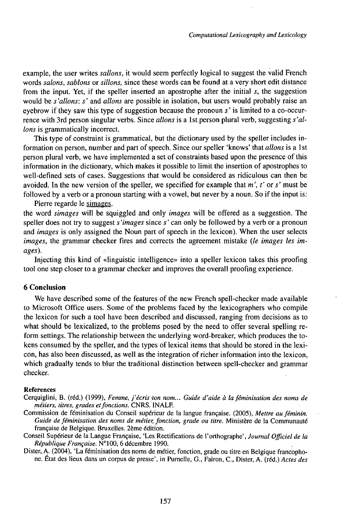example, the user writes *sallons,* it would seem perfectly logical to suggest the valid French words *salons, sablons* or *sillons,* since these words can be found at a very short edit distance from the input. Yet, if the speller inserted an apostrophe after the initial *s,* the suggestion would be *s'allons: s'* and *allons* are possible in isolation, but users would probably raise an eyebrow if they saw this type of suggestion because the pronoun *s '* is limited to a co-occurrence with 3rd person singular verbs. Since *allons* is a 1st person plural verb, suggesting *s'allons* is grammatically incorrect.

This type of constraint is grammatical, but the dictionary used by the speller includes information on person, number and part of speech. Since our speller 'knows' that *allons* is a 1st person plural verb, we have implemented a set of constraints based upon the presence of this information in the dictionary, which makes it possible to limit the insertion of apostrophes to well-defined sets of cases. Suggestions that would be considered as ridiculous can then be avoided. In the new version of the speller, we specified for example that  $m'$ ,  $t'$  or  $s'$  must be followed by a verb or a pronoun starting with a vowel, but never by a noun. So if the input is:

Pierre regarde le simages. the word *simages* will be squiggled and only *images* will be offered as a suggestion. The speller does not try to suggest *s'images* since s'can only be followed by a verb or a pronoun and *images* is only assigned the Noun part of speech in the lexicon). When the user selects *images,* the grammar checker fires and corrects the agreement mistake *(le images les images).*

Injecting this kind of «linguistic intelligence» into a speller lexicon takes this proofing tool one step closer to a grammar checker and improves the overall proofing experience.

# **6 Conclusion**

We have described some of the features of the new French spell-checker made available to Microsoft Office users. Some of the problems faced by the lexicographers who compile the lexicon for such a tool have been described and discussed, ranging from decisions as to what should be lexicalized, to the problems posed by the need to offer several spelling reform settings. The relationship between the underlying word-breaker, which produces the tokens consumed by the speller, and thè types of lexical items that should be stored in the lexicon, has also been discussed, as well as the integration of richer information into the lexicon, which gradually tends to blur the traditional distinction between spell-checker and grammar checker.

#### References

Cerquiglini, B. (réd.) (1999), *Femme, j'écriston nom... Guide d'aide à laféminisation des noms de métiers, titres, grades etfonctions.* CNRS. INALF.

Commission de féminisation du Conseil supérieur de la langue française. (2005), *Mettre au féminin. Guide de féminisation des noms de métier, fonction, grade ou titre.* Ministère de la Communauté française de Belgique. Bruxelles. 2eme édition.

Conseil Supérieur de la Langue Française, 'Les Rectifications de l'orthographe', *Journal Officiel de la République Française.* •100, <sup>6</sup> décembre 1990.

Dister, A. (2004), 'La féminisation des noms de métier, fonction, grade ou titre en Belgique francophone. État des lieux dans un corpus de presse', in Purnelle, G., Fairon, C., Dister, A. (réd.) *Actes des*